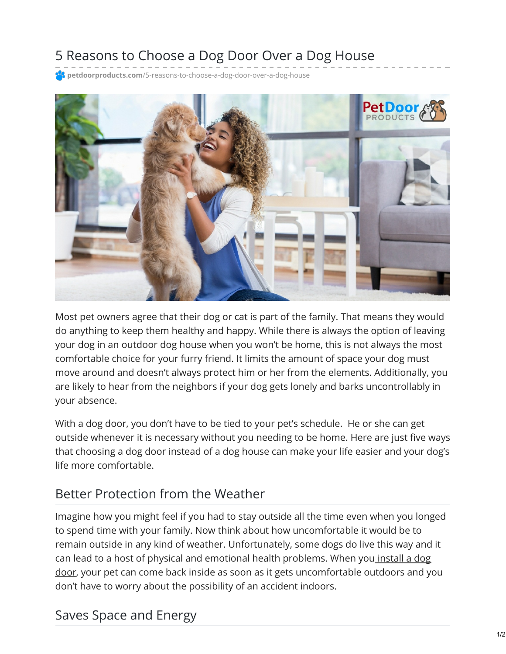# 5 Reasons to Choose a Dog Door Over a Dog House

**petdoorproducts.com**[/5-reasons-to-choose-a-dog-door-over-a-dog-house](https://petdoorproducts.com/5-reasons-to-choose-a-dog-door-over-a-dog-house/)



Most pet owners agree that their dog or cat is part of the family. That means they would do anything to keep them healthy and happy. While there is always the option of leaving your dog in an outdoor dog house when you won't be home, this is not always the most comfortable choice for your furry friend. It limits the amount of space your dog must move around and doesn't always protect him or her from the elements. Additionally, you are likely to hear from the neighbors if your dog gets lonely and barks uncontrollably in your absence.

With a dog door, you don't have to be tied to your pet's schedule. He or she can get outside whenever it is necessary without you needing to be home. Here are just five ways that choosing a dog door instead of a dog house can make your life easier and your dog's life more comfortable.

#### Better Protection from the Weather

Imagine how you might feel if you had to stay outside all the time even when you longed to spend time with your family. Now think about how uncomfortable it would be to remain outside in any kind of weather. Unfortunately, some dogs do live this way and it can lead to a host of physical and emotional health problems. When you install a dog door, your pet can come back inside as soon as it gets [uncomfortable](https://petdoorproducts.com/professional-pet-door-installer-in-utah/) outdoors and you don't have to worry about the possibility of an accident indoors.

#### Saves Space and Energy